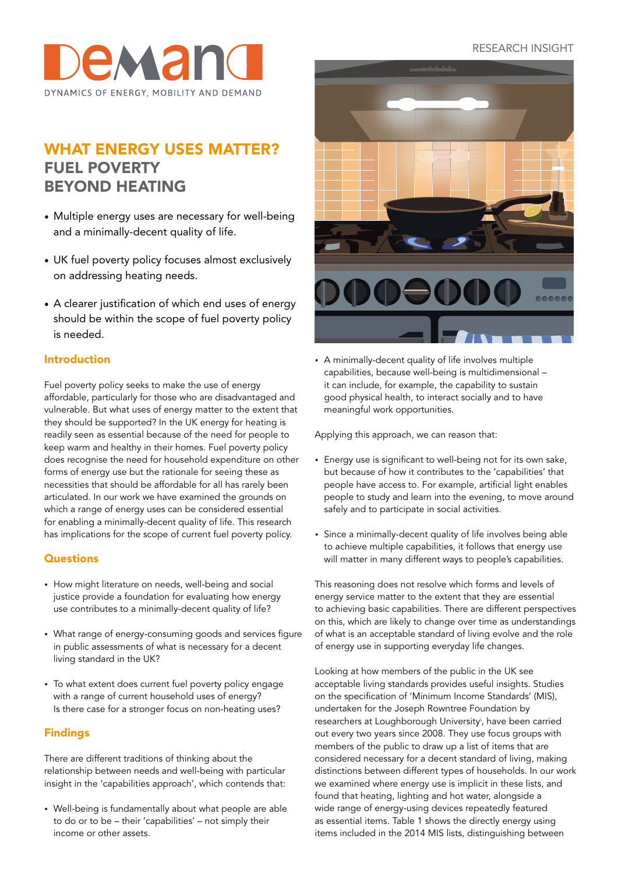### RESEARCH INSIGHT



# WHAT ENERGY USES MATTER? FUEL POVERTY BEYOND HEATING

- Multiple energy uses are necessary for well-being and a minimally-decent quality of life.
- UK fuel poverty policy focuses almost exclusively on addressing heating needs.
- A clearer justification of which end uses of energy should be within the scope of fuel poverty policy is needed.

#### Introduction

Fuel poverty policy seeks to make the use of energy affordable, particularly for those who are disadvantaged and vulnerable. But what uses of energy matter to the extent that they should be supported? In the UK energy for heating is readily seen as essential because of the need for people to keep warm and healthy in their homes. Fuel poverty policy does recognise the need for household expenditure on other forms of energy use but the rationale for seeing these as necessities that should be affordable for all has rarely been articulated. In our work we have examined the grounds on which a range of energy uses can be considered essential for enabling a minimally-decent quality of life. This research has implications for the scope of current fuel poverty policy.

#### **Questions**

- How might literature on needs, well-being and social justice provide a foundation for evaluating how energy use contributes to a minimally-decent quality of life?
- What range of energy-consuming goods and services figure in public assessments of what is necessary for a decent living standard in the UK?
- To what extent does current fuel poverty policy engage with a range of current household uses of energy? Is there case for a stronger focus on non-heating uses?

#### Findings

There are different traditions of thinking about the relationship between needs and well-being with particular insight in the 'capabilities approach', which contends that:

• Well-being is fundamentally about what people are able to do or to be – their 'capabilities' – not simply their income or other assets.



• A minimally-decent quality of life involves multiple capabilities, because well-being is multidimensional – it can include, for example, the capability to sustain good physical health, to interact socially and to have meaningful work opportunities.

Applying this approach, we can reason that:

- Energy use is significant to well-being not for its own sake, but because of how it contributes to the 'capabilities' that people have access to. For example, artificial light enables people to study and learn into the evening, to move around safely and to participate in social activities.
- Since a minimally-decent quality of life involves being able to achieve multiple capabilities, it follows that energy use will matter in many different ways to people's capabilities.

This reasoning does not resolve which forms and levels of energy service matter to the extent that they are essential to achieving basic capabilities. There are different perspectives on this, which are likely to change over time as understandings of what is an acceptable standard of living evolve and the role of energy use in supporting everyday life changes.

Looking at how members of the public in the UK see acceptable living standards provides useful insights. Studies on the specification of 'Minimum Income Standards' (MIS), undertaken for the Joseph Rowntree Foundation by researchers at Loughborough Universityi , have been carried out every two years since 2008. They use focus groups with members of the public to draw up a list of items that are considered necessary for a decent standard of living, making distinctions between different types of households. In our work we examined where energy use is implicit in these lists, and found that heating, lighting and hot water, alongside a wide range of energy-using devices repeatedly featured as essential items. Table 1 shows the directly energy using items included in the 2014 MIS lists, distinguishing between